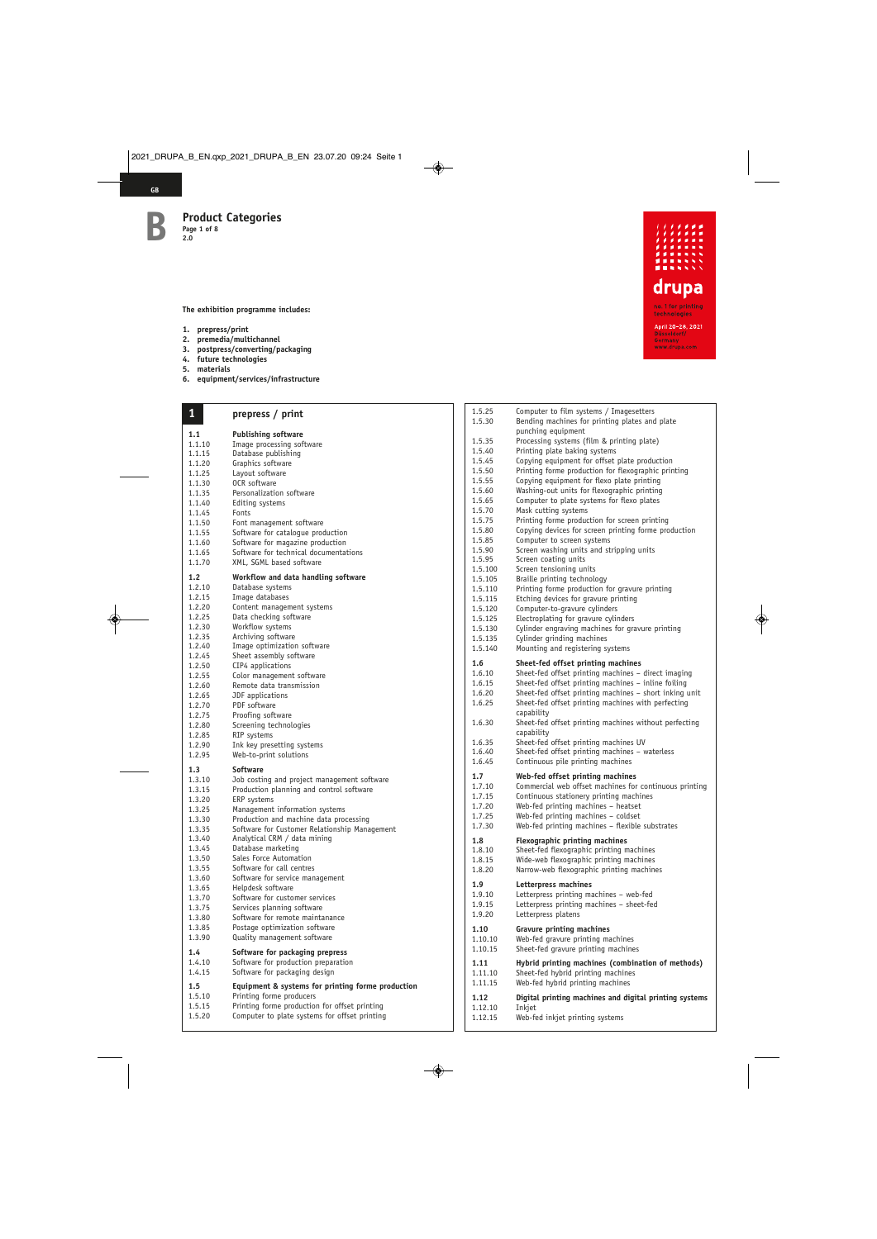**GB**

**The exhibition programme includes:**

- **1. prepress/print**
- **2. premedia/multichannel**
- **3. postpress/converting/packaging**
- **4. future technologies**
- **5. materials**
- **6. equipment/services/infrastructure**

| $\mathbf{1}$     | prepress / print                                     |
|------------------|------------------------------------------------------|
| 1.1              | <b>Publishing software</b>                           |
| 1.1.10           | Image processing software                            |
| 1.1.15           | Database publishing                                  |
| 1.1.20           | Graphics software                                    |
| 1.1.25           | Layout software                                      |
| 1.1.30           | OCR software                                         |
| 1.1.35           | Personalization software                             |
| 1.1.40           | Editing systems                                      |
| 1.1.45           | Fonts                                                |
| 1.1.50           | Font management software                             |
| 1.1.55           | Software for cataloque production                    |
| 1.1.60           | Software for magazine production                     |
| 1.1.65           | Software for technical documentations                |
| 1.1.70           | XML, SGML based software                             |
| 1.2              | Workflow and data handling software                  |
| 1.2.10           | Database systems                                     |
| 1.2.15           | Image databases                                      |
| 1.2.20<br>1.2.25 | Content management systems<br>Data checking software |
| 1.2.30           | Workflow systems                                     |
| 1.2.35           | Archiving software                                   |
| 1.2.40           | Image optimization software                          |
| 1.2.45           | Sheet assembly software                              |
| 1.2.50           | CIP4 applications                                    |
| 1.2.55           | Color management software                            |
| 1.2.60           | Remote data transmission                             |
| 1.2.65           | JDF applications                                     |
| 1.2.70           | PDF software                                         |
| 1.2.75           | Proofing software                                    |
| 1.2.80           | Screening technologies                               |
| 1.2.85           | RIP systems                                          |
| 1.2.90<br>1.2.95 | Ink key presetting systems<br>Web-to-print solutions |
|                  |                                                      |
| 1.3              | Software                                             |
| 1.3.10           | Job costing and project management software          |
| 1.3.15           | Production planning and control software             |
| 1.3.20<br>1.3.25 | ERP systems<br>Management information systems        |
| 1.3.30           | Production and machine data processing               |
| 1.3.35           | Software for Customer Relationship Management        |
| 1.3.40           | Analytical CRM / data mining                         |
| 1.3.45           | Database marketing                                   |
| 1.3.50           | Sales Force Automation                               |
| 1.3.55           | Software for call centres                            |
| 1.3.60           | Software for service management                      |
| 1.3.65           | Helpdesk software                                    |
| 1.3.70           | Software for customer services                       |
| 1.3.75           | Services planning software                           |
| 1.3.80           | Software for remote maintanance                      |
| 1.3.85           | Postage optimization software                        |
| 1.3.90           | Quality management software                          |
| 1.4              | Software for packaging prepress                      |
| 1.4.10           | Software for production preparation                  |
| 1.4.15           | Software for packaging design                        |
| 1.5              | Equipment & systems for printing forme production    |
| 1.5.10           | Printing forme producers                             |
| 1.5.15           | Printing forme production for offset printing        |

1.5.20 Computer to plate systems for offset printing



| 1.5.25           | Computer to film systems / Imagesetters                                |
|------------------|------------------------------------------------------------------------|
| 1.5.30           | Bending machines for printing plates and plate<br>punching equipment   |
| 1.5.35           | Processing systems (film & printing plate)                             |
| 1.5.40           | Printing plate baking systems                                          |
| 1.5.45           | Copying equipment for offset plate production                          |
| 1.5.50           | Printing forme production for flexographic printing                    |
| 1.5.55           | Copying equipment for flexo plate printing                             |
| 1.5.60           | Washing-out units for flexographic printing                            |
| 1.5.65           | Computer to plate systems for flexo plates                             |
| 1.5.70           | Mask cutting systems                                                   |
| 1.5.75           | Printing forme production for screen printing                          |
| 1.5.80           | Copying devices for screen printing forme production                   |
| 1.5.85           | Computer to screen systems<br>Screen washing units and stripping units |
| 1.5.90<br>1.5.95 | Screen coating units                                                   |
| 1.5.100          | Screen tensioning units                                                |
| 1.5.105          | Braille printing technology                                            |
| 1.5.110          | Printing forme production for gravure printing                         |
| 1.5.115          | Etching devices for gravure printing                                   |
| 1.5.120          | Computer-to-gravure cylinders                                          |
| 1.5.125          | Electroplating for gravure cylinders                                   |
| 1.5.130          | Cylinder engraving machines for gravure printing                       |
| 1.5.135          | Cylinder grinding machines                                             |
| 1.5.140          | Mounting and registering systems                                       |
| 1.6              | Sheet-fed offset printing machines                                     |
| 1.6.10           | Sheet-fed offset printing machines - direct imaging                    |
| 1.6.15           | Sheet-fed offset printing machines - inline foiling                    |
| 1.6.20           | Sheet-fed offset printing machines - short inking unit                 |
| 1.6.25           | Sheet-fed offset printing machines with perfecting                     |
| 1.6.30           | capability<br>Sheet-fed offset printing machines without perfecting    |
|                  | capability                                                             |
| 1.6.35           | Sheet-fed offset printing machines UV                                  |
| 1.6.40           | Sheet-fed offset printing machines - waterless                         |
| 1.6.45           | Continuous pile printing machines                                      |
| 1.7              | Web-fed offset printing machines                                       |
| 1.7.10           | Commercial web offset machines for continuous printing                 |
| 1.7.15           | Continuous stationery printing machines                                |
| 1.7.20           | Web-fed printing machines - heatset                                    |
| 1.7.25           | Web-fed printing machines - coldset                                    |
| 1.7.30           | Web-fed printing machines - flexible substrates                        |
| 1.8              | <b>Flexographic printing machines</b>                                  |
| 1.8.10           | Sheet-fed flexographic printing machines                               |
| 1.8.15           | Wide-web flexographic printing machines                                |
| 1.8.20           | Narrow-web flexographic printing machines                              |
| 1.9              | Letterpress machines                                                   |
| 1.9.10           | Letterpress printing machines – web-fed                                |
| 1.9.15           | Letterpress printing machines - sheet-fed                              |
| 1.9.20           | Letterpress platens                                                    |
| 1.10             | <b>Gravure printing machines</b>                                       |
| 1.10.10          | Web-fed gravure printing machines                                      |
| 1.10.15          | Sheet-fed gravure printing machines                                    |
| 1.11             | Hybrid printing machines (combination of methods)                      |
| 1.11.10          | Sheet-fed hybrid printing machines                                     |
| 1.11.15          | Web-fed hybrid printing machines                                       |
| 1.12             | Digital printing machines and digital printing systems                 |
| 1.12.10          | Inkjet                                                                 |
| 1.12.15          | Web-fed inkjet printing systems                                        |

Web-fed inkjet printing systems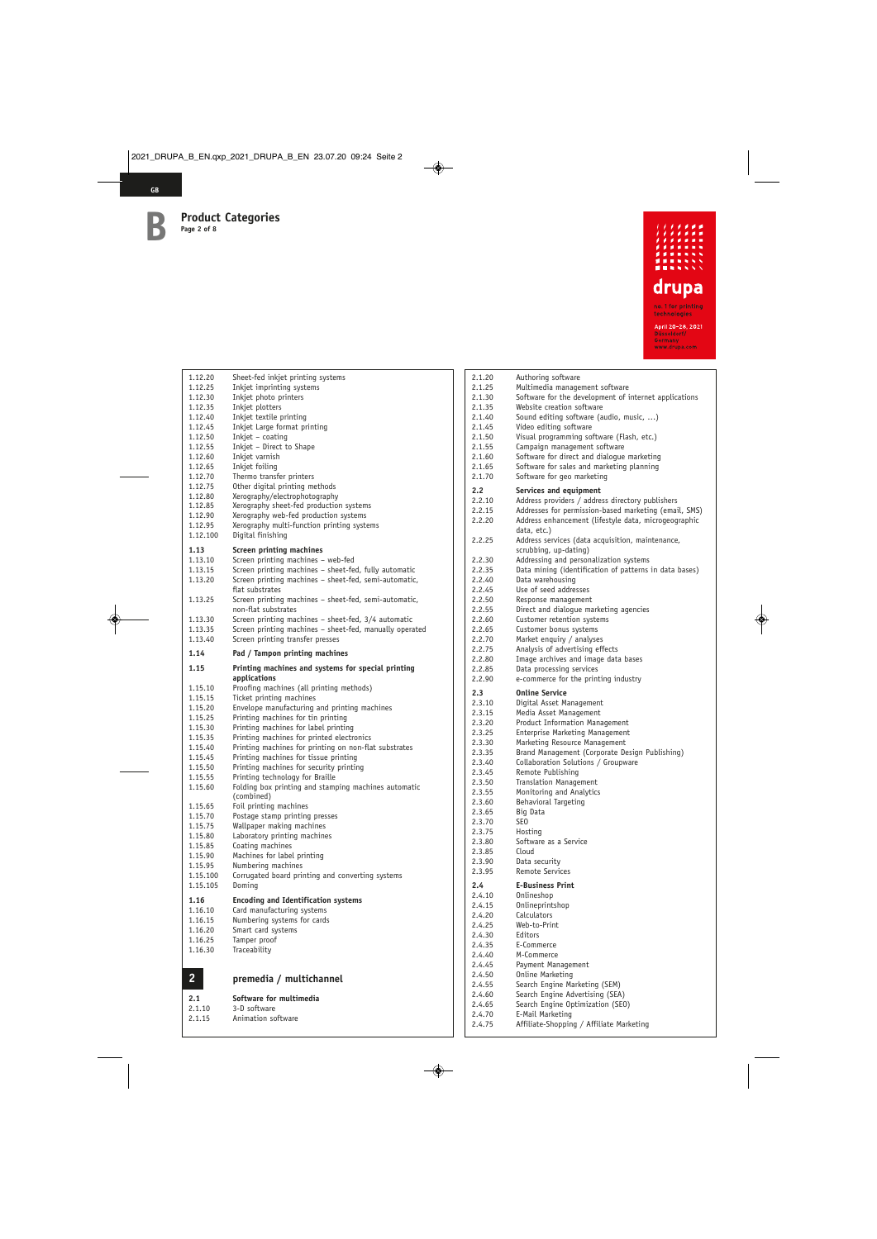

| 1.12.20             | Sheet-fed inkjet printing systems                                                   |
|---------------------|-------------------------------------------------------------------------------------|
| 1.12.25             | Inkjet imprinting systems                                                           |
| 1.12.30             | Inkjet photo printers                                                               |
| 1.12.35             | Inkjet plotters                                                                     |
| 1.12.40             | Inkjet textile printing                                                             |
| 1.12.45             | Inkjet Large format printing                                                        |
| 1.12.50             | Inkjet - coating                                                                    |
| 1.12.55             | Inkjet - Direct to Shape                                                            |
| 1.12.60             | Inkjet varnish                                                                      |
| 1.12.65             | Inkjet foiling                                                                      |
| 1.12.70             | Thermo transfer printers                                                            |
| 1.12.75             | Other digital printing methods                                                      |
| 1.12.80             | Xerography/electrophotography                                                       |
| 1.12.85             | Xerography sheet-fed production systems                                             |
| 1.12.90             | Xerography web-fed production systems<br>Xerography multi-function printing systems |
| 1.12.95<br>1.12.100 | Digital finishing                                                                   |
|                     |                                                                                     |
| 1.13                | Screen printing machines                                                            |
| 1.13.10             | Screen printing machines - web-fed                                                  |
| 1.13.15             | Screen printing machines - sheet-fed, fully automatic                               |
| 1.13.20             | Screen printing machines - sheet-fed, semi-automatic,                               |
|                     | flat substrates                                                                     |
| 1.13.25             | Screen printing machines - sheet-fed, semi-automatic,                               |
|                     | non-flat substrates                                                                 |
| 1.13.30             | Screen printing machines - sheet-fed, 3/4 automatic                                 |
| 1.13.35             | Screen printing machines - sheet-fed, manually operated                             |
| 1.13.40             | Screen printing transfer presses                                                    |
| 1.14                | Pad / Tampon printing machines                                                      |
| 1.15                | Printing machines and systems for special printing                                  |
|                     | applications                                                                        |
|                     |                                                                                     |
| 1.15.10             | Proofing machines (all printing methods)                                            |
| 1.15.15             | Ticket printing machines                                                            |
| 1.15.20             | Envelope manufacturing and printing machines                                        |
| 1.15.25             | Printing machines for tin printing                                                  |
| 1.15.30             | Printing machines for label printing                                                |
| 1.15.35             | Printing machines for printed electronics                                           |
| 1.15.40             | Printing machines for printing on non-flat substrates                               |
| 1.15.45             | Printing machines for tissue printing                                               |
| 1.15.50             | Printing machines for security printing                                             |
| 1.15.55             | Printing technology for Braille                                                     |
| 1.15.60             | Folding box printing and stamping machines automatic                                |
|                     | (combined)                                                                          |
| 1.15.65             | Foil printing machines                                                              |
| 1.15.70             | Postage stamp printing presses                                                      |
| 1.15.75<br>1.15.80  | Wallpaper making machines                                                           |
| 1.15.85             | Laboratory printing machines<br>Coating machines                                    |
| 1.15.90             |                                                                                     |
| 1.15.95             | Machines for label printing<br>Numbering machines                                   |
| 1.15.100            | Corrugated board printing and converting systems                                    |
| 1.15.105            | Doming                                                                              |
|                     |                                                                                     |
| 1.16<br>1.16.10     | <b>Encoding and Identification systems</b>                                          |
|                     | Card manufacturing systems                                                          |
| 1.16.15<br>1.16.20  | Numbering systems for cards                                                         |
|                     | Smart card systems                                                                  |
| 1.16.25<br>1.16.30  | Tamper proof<br>Traceability                                                        |
|                     |                                                                                     |
|                     |                                                                                     |
| 2                   | premedia / multichannel                                                             |
| 2.1<br>2.1.10       | Software for multimedia<br>3-D software                                             |

2.1.15 Animation software

| 2.1.20           | Authoring software                                           |
|------------------|--------------------------------------------------------------|
| 2.1.25           | Multimedia management software                               |
| 2.1.30           | Software for the development of internet applications        |
| 2.1.35           | Website creation software                                    |
| 2.1.40           | Sound editing software (audio, music, )                      |
| 2.1.45           | Video editing software                                       |
| 2.1.50           | Visual programming software (Flash, etc.)                    |
| 2.1.55           | Campaign management software                                 |
| 2.1.60           | Software for direct and dialogue marketing                   |
| 2.1.65           | Software for sales and marketing planning                    |
|                  |                                                              |
| 2.1.70           | Software for geo marketing                                   |
| 2.2              | Services and equipment                                       |
| 2.2.10           | Address providers / address directory publishers             |
| 2.2.15           | Addresses for permission-based marketing (email, SMS)        |
| 2.2.20           | Address enhancement (lifestyle data, microgeographic         |
|                  | data, etc.)                                                  |
| 2.2.25           | Address services (data acquisition, maintenance,             |
|                  | scrubbing, up-dating)                                        |
| 2.2.30           | Addressing and personalization systems                       |
|                  |                                                              |
| 2.2.35           | Data mining (identification of patterns in data bases)       |
| 2.2.40           | Data warehousing                                             |
| 2.2.45           | Use of seed addresses                                        |
| 2.2.50           | Response management                                          |
| 2.2.55           | Direct and dialogue marketing agencies                       |
| 2.2.60           | Customer retention systems                                   |
| 2.2.65           | Customer bonus systems                                       |
| 2.2.70           | Market enquiry / analyses                                    |
| 2.2.75           | Analysis of advertising effects                              |
| 2.2.80           | Image archives and image data bases                          |
| 2.2.85           | Data processing services                                     |
| 2.2.90           | e-commerce for the printing industry                         |
|                  |                                                              |
| 2.3              | <b>Online Service</b>                                        |
| 2.3.10           | Digital Asset Management                                     |
| 2.3.15           | Media Asset Management                                       |
| 2.3.20           | Product Information Management                               |
| 2.3.25           | Enterprise Marketing Management                              |
| 2.3.30           | Marketing Resource Management                                |
| 2.3.35           | Brand Management (Corporate Design Publishing)               |
| 2.3.40           | Collaboration Solutions / Groupware                          |
| 2.3.45           | Remote Publishing                                            |
| 2.3.50           | <b>Translation Management</b>                                |
| 2.3.55           | Monitoring and Analytics                                     |
| 2.3.60           | <b>Behavioral Targeting</b>                                  |
| 2.3.65           | Big Data                                                     |
| 2.3.70           | SEO                                                          |
| 2.3.75           | Hosting                                                      |
| 2.3.80           | Software as a Service                                        |
| 2.3.85           | Cloud                                                        |
|                  |                                                              |
| 2.3.90           | Data security<br>Remote Services                             |
| 2.3.95           |                                                              |
| 2.4              | <b>E-Business Print</b>                                      |
| 2.4.10           | Onlineshop                                                   |
| 2.4.15           | Onlineprintshop                                              |
| 2.4.20           | Calculators                                                  |
| 2.4.25           | Web-to-Print                                                 |
| 2.4.30           | Editors                                                      |
| 2.4.35           | E-Commerce                                                   |
| 2.4.40           | M-Commerce                                                   |
| 2.4.45           | Payment Management                                           |
|                  |                                                              |
|                  |                                                              |
| 2.4.50           | <b>Online Marketing</b>                                      |
| 2.4.55           | Search Engine Marketing (SEM)                                |
| 2.4.60           | Search Engine Advertising (SEA)                              |
| 2.4.65           | Search Engine Optimization (SEO)                             |
| 2.4.70<br>2.4.75 | E-Mail Marketing<br>Affiliate-Shopping / Affiliate Marketing |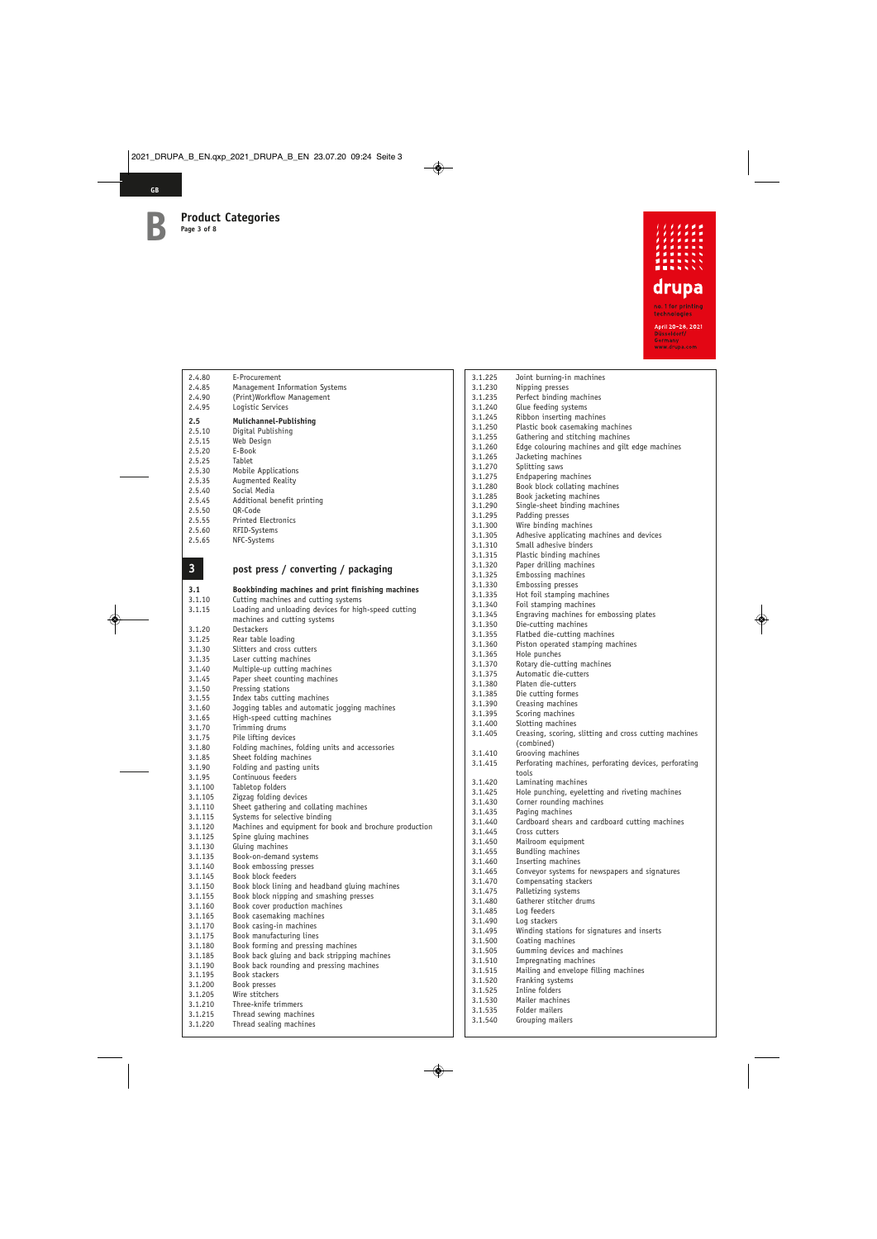

| 2.4.80                  | E-Procurement                                           | 3.       |
|-------------------------|---------------------------------------------------------|----------|
| 2.4.85                  | Management Information Systems                          | 3.       |
| 2.4.90                  | (Print)Workflow Management                              | 3.       |
| 2.4.95                  | Logistic Services                                       | 3.       |
| 2.5                     | Mulichannel-Publishing                                  | 3.       |
| 2.5.10                  | Digital Publishing                                      | 3.       |
| 2.5.15                  | Web Design                                              | 3.       |
| 2.5.20                  | E-Book                                                  | 3.       |
| 2.5.25                  | Tablet                                                  | 3.       |
| 2.5.30                  | Mobile Applications                                     | 3.<br>3. |
| 2.5.35                  | Augmented Reality                                       | 3.       |
| 2.5.40                  | Social Media                                            | 3.       |
| 2.5.45                  | Additional benefit printing                             | 3.       |
| 2.5.50                  | OR-Code                                                 | 3.       |
| 2.5.55                  | <b>Printed Electronics</b>                              | 3.       |
| 2.5.60<br>2.5.65        | RFID-Systems<br>NFC-Systems                             | 3.       |
|                         |                                                         | 3.       |
|                         |                                                         | 3.       |
| $\overline{\mathbf{3}}$ | post press / converting / packaging                     | 3.       |
|                         |                                                         | 3.       |
| 3.1                     | Bookbinding machines and print finishing machines       | 3.<br>3. |
| 3.1.10                  | Cutting machines and cutting systems                    | 3.       |
| 3.1.15                  | Loading and unloading devices for high-speed cutting    | 3.       |
|                         | machines and cutting systems                            | 3.       |
| 3.1.20                  | <b>Destackers</b>                                       | 3.       |
| 3.1.25                  | Rear table loading                                      | 3.       |
| 3.1.30<br>3.1.35        | Slitters and cross cutters<br>Laser cutting machines    | 3.       |
| 3.1.40                  | Multiple-up cutting machines                            | 3.       |
| 3.1.45                  | Paper sheet counting machines                           | 3.       |
| 3.1.50                  | Pressing stations                                       | 3.       |
| 3.1.55                  | Index tabs cutting machines                             | 3.       |
| 3.1.60                  | Jogging tables and automatic jogging machines           | 3.       |
| 3.1.65                  | High-speed cutting machines                             | 3.<br>3. |
| 3.1.70                  | Trimming drums                                          | 3.       |
| 3.1.75                  | Pile lifting devices                                    |          |
| 3.1.80                  | Folding machines, folding units and accessories         | 3.       |
| 3.1.85<br>3.1.90        | Sheet folding machines<br>Folding and pasting units     | 3.       |
| 3.1.95                  | Continuous feeders                                      |          |
| 3.1.100                 | Tabletop folders                                        | 3.       |
| 3.1.105                 | Zigzag folding devices                                  | 3.       |
| 3.1.110                 | Sheet gathering and collating machines                  | 3.       |
| 3.1.115                 | Systems for selective binding                           | 3.       |
| 3.1.120                 | Machines and equipment for book and brochure production | 3.<br>3. |
| 3.1.125                 | Spine gluing machines                                   | 3.       |
| 3.1.130                 | Gluing machines                                         | 3.       |
| 3.1.135                 | Book-on-demand systems                                  | 3.       |
| 3.1.140<br>3.1.145      | Book embossing presses<br>Book block feeders            | 3.       |
| 3.1.150                 | Book block lining and headband gluing machines          | 3.       |
| 3.1.155                 | Book block nipping and smashing presses                 | 3.       |
| 3.1.160                 | Book cover production machines                          | 3.       |
| 3.1.165                 | Book casemaking machines                                | 3.       |
| 3.1.170                 | Book casing-in machines                                 | 3.       |
| 3.1.175                 | Book manufacturing lines                                | 3.<br>3. |
| 3.1.180                 | Book forming and pressing machines                      | 3.       |
| 3.1.185                 | Book back gluing and back stripping machines            | 3.       |
| 3.1.190                 | Book back rounding and pressing machines                | 3.       |
| 3.1.195                 | <b>Book stackers</b>                                    | 3.       |
| 3.1.200<br>3.1.205      | Book presses<br>Wire stitchers                          | 3.       |
| 3.1.210                 | Three-knife trimmers                                    | 3.       |
| 3.1.215                 | Thread sewing machines                                  | 3.       |
| 3.1.220                 | Thread sealing machines                                 | 3.       |

3.1.220 Thread sealing machines

| 3.1.225 | Joint burning-in machines                              |
|---------|--------------------------------------------------------|
| 3.1.230 | Nipping presses                                        |
| 3.1.235 | Perfect binding machines                               |
| 3.1.240 | Glue feeding systems                                   |
| 3.1.245 | Ribbon inserting machines                              |
| 3.1.250 | Plastic book casemaking machines                       |
| 3.1.255 | Gathering and stitching machines                       |
| 3.1.260 | Edge colouring machines and gilt edge machines         |
| 3.1.265 | Jacketing machines                                     |
| 3.1.270 | Splitting saws                                         |
| 3.1.275 | Endpapering machines                                   |
| 3.1.280 | Book block collating machines                          |
| 3.1.285 | Book jacketing machines                                |
| 3.1.290 | Single-sheet binding machines                          |
| 3.1.295 | Padding presses                                        |
| 3.1.300 | Wire binding machines                                  |
| 3.1.305 | Adhesive applicating machines and devices              |
| 3.1.310 | Small adhesive binders                                 |
| 3.1.315 | Plastic binding machines                               |
| 3.1.320 | Paper drilling machines                                |
| 3.1.325 | Embossing machines                                     |
| 3.1.330 | Embossing presses                                      |
| 3.1.335 | Hot foil stamping machines                             |
| 3.1.340 | Foil stamping machines                                 |
| 3.1.345 | Engraving machines for embossing plates                |
| 3.1.350 | Die-cutting machines                                   |
| 3.1.355 | Flatbed die-cutting machines                           |
| 3.1.360 | Piston operated stamping machines                      |
| 3.1.365 | Hole punches                                           |
| 3.1.370 | Rotary die-cutting machines                            |
| 3.1.375 | Automatic die-cutters                                  |
| 3.1.380 | Platen die-cutters                                     |
| 3.1.385 | Die cutting formes                                     |
| 3.1.390 | Creasing machines                                      |
| 3.1.395 | Scoring machines                                       |
| 3.1.400 | Slotting machines                                      |
| 3.1.405 | Creasing, scoring, slitting and cross cutting machines |
|         | (combined)                                             |
| 3.1.410 | Grooving machines                                      |
| 3.1.415 | Perforating machines, perforating devices, perforating |
|         | tools                                                  |
| 3.1.420 | Laminating machines                                    |
| 3.1.425 | Hole punching, eyeletting and riveting machines        |
| 3.1.430 | Corner rounding machines                               |
| 3.1.435 | Paging machines                                        |
| 3.1.440 | Cardboard shears and cardboard cutting machines        |
| 3.1.445 | Cross cutters                                          |
| 3.1.450 | Mailroom equipment                                     |
| 3.1.455 | Bundling machines                                      |
| 3.1.460 | Inserting machines                                     |
| 3.1.465 | Conveyor systems for newspapers and signatures         |
| 3.1.470 | Compensating stackers                                  |
| 3.1.475 | Palletizing systems                                    |
| 3.1.480 | Gatherer stitcher drums                                |
| 3.1.485 | Log feeders                                            |
| 3.1.490 | Log stackers                                           |
| 3.1.495 | Winding stations for signatures and inserts            |
| 3.1.500 | Coating machines                                       |
| 3.1.505 | Gumming devices and machines                           |
| 3.1.510 | Impregnating machines                                  |
| 3.1.515 | Mailing and envelope filling machines                  |
| 3.1.520 | Franking systems                                       |
| 3.1.525 | Inline folders                                         |
| 3.1.530 | Mailer machines                                        |
| 3.1.535 | Folder mailers                                         |
| 3.1.540 | Grouping mailers                                       |
|         |                                                        |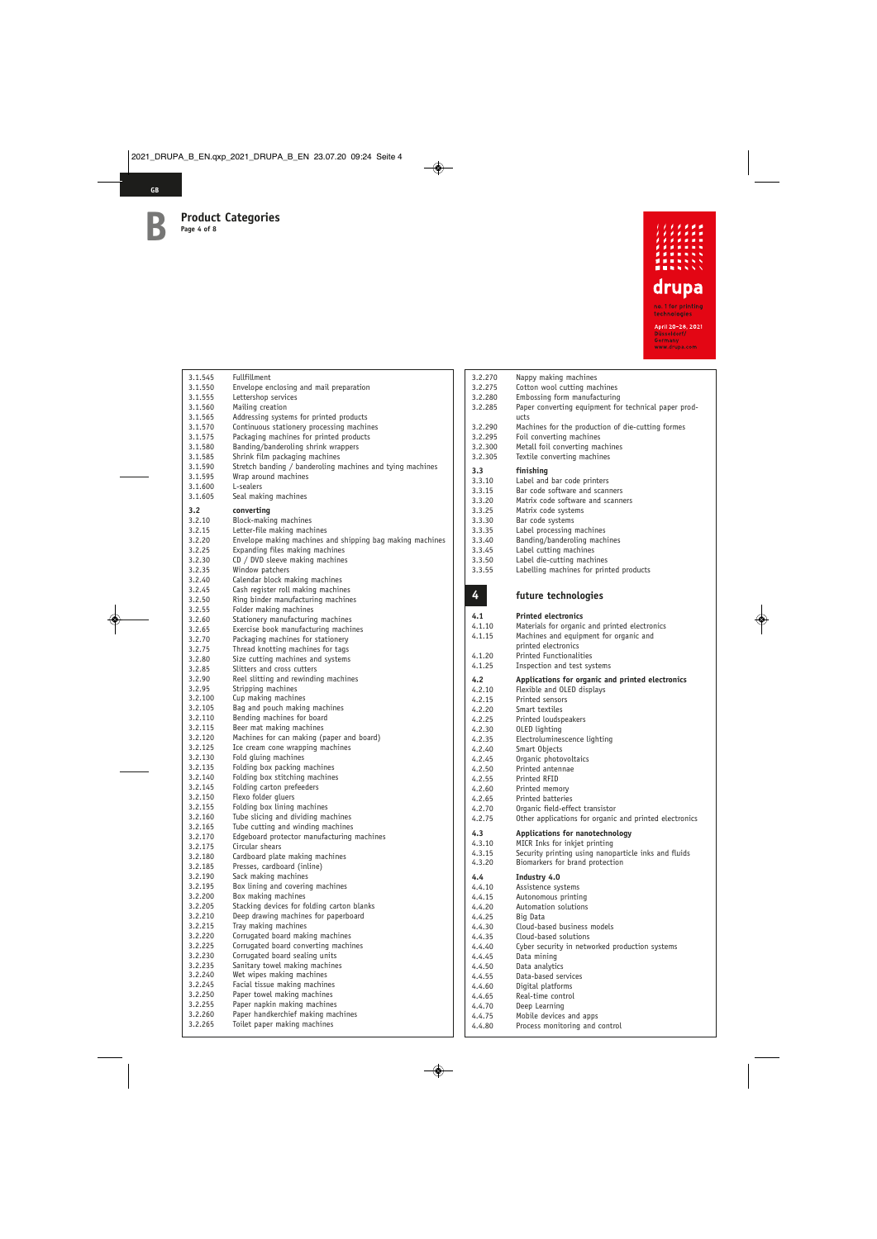**GB**



| 3.1.545            | Fullfillment                                                                    |
|--------------------|---------------------------------------------------------------------------------|
| 3.1.550            | Envelope enclosing and mail preparation                                         |
| 3.1.555            | Lettershop services                                                             |
| 3.1.560            | Mailing creation                                                                |
| 3.1.565            | Addressing systems for printed products                                         |
| 3.1.570            | Continuous stationery processing machines                                       |
| 3.1.575            | Packaging machines for printed products                                         |
| 3.1.580<br>3.1.585 | Banding/banderoling shrink wrappers<br>Shrink film packaging machines           |
| 3.1.590            | Stretch banding / banderoling machines and tying machines                       |
| 3.1.595            | Wrap around machines                                                            |
| 3.1.600            | L-sealers                                                                       |
| 3.1.605            | Seal making machines                                                            |
| 3.2                | converting                                                                      |
| 3.2.10             | Block-making machines                                                           |
| 3.2.15             | Letter-file making machines                                                     |
| 3.2.20             | Envelope making machines and shipping bag making machines                       |
| 3.2.25             | Expanding files making machines                                                 |
| 3.2.30             | $CD / DVD$ sleeve making machines                                               |
| 3.2.35<br>3.2.40   | Window patchers<br>Calendar block making machines                               |
| 3.2.45             | Cash register roll making machines                                              |
| 3.2.50             | Ring binder manufacturing machines                                              |
| 3.2.55             | Folder making machines                                                          |
| 3.2.60             | Stationery manufacturing machines                                               |
| 3.2.65             | Exercise book manufacturing machines                                            |
| 3.2.70             | Packaging machines for stationery                                               |
| 3.2.75             | Thread knotting machines for tags                                               |
| 3.2.80             | Size cutting machines and systems                                               |
| 3.2.85             | Slitters and cross cutters                                                      |
| 3.2.90             | Reel slitting and rewinding machines                                            |
| 3.2.95             | Stripping machines                                                              |
| 3.2.100            | Cup making machines<br>Bag and pouch making machines                            |
| 3.2.105<br>3.2.110 | Bending machines for board                                                      |
| 3.2.115            | Beer mat making machines                                                        |
| 3.2.120            | Machines for can making (paper and board)                                       |
| 3.2.125            | Ice cream cone wrapping machines                                                |
| 3.2.130            | Fold gluing machines                                                            |
| 3.2.135            | Folding box packing machines                                                    |
| 3.2.140            | Folding box stitching machines                                                  |
| 3.2.145            | Folding carton prefeeders                                                       |
| 3.2.150            | Flexo folder gluers                                                             |
| 3.2.155            | Folding box lining machines                                                     |
| 3.2.160            | Tube slicing and dividing machines                                              |
| 3.2.165<br>3.2.170 | Tube cutting and winding machines<br>Edgeboard protector manufacturing machines |
| 3.2.175            | Circular shears                                                                 |
| 3.2.180            | Cardboard plate making machines                                                 |
| 3.2.185            | Presses, cardboard (inline)                                                     |
| 3.2.190            | Sack making machines                                                            |
| 3.2.195            | Box lining and covering machines                                                |
| 3.2.200            | Box making machines                                                             |
| 3.2.205            | Stacking devices for folding carton blanks                                      |
| 3.2.210            | Deep drawing machines for paperboard                                            |
| 3.2.215            | Tray making machines                                                            |
| 3.2.220            | Corrugated board making machines                                                |
| 3.2.225            | Corrugated board converting machines                                            |
| 3.2.230            | Corrugated board sealing units                                                  |
| 3.2.235            | Sanitary towel making machines                                                  |
| 3.2.240<br>3.2.245 | Wet wipes making machines<br>Facial tissue making machines                      |
| 3.2.250            | Paper towel making machines                                                     |
| 3.2.255            | Paper napkin making machines                                                    |
| 3.2.260            | Paper handkerchief making machines                                              |
| 3.2.265            | Toilet paper making machines                                                    |
|                    |                                                                                 |

| 3.2.270          | Nappy making machines                                                                   |
|------------------|-----------------------------------------------------------------------------------------|
| 3.2.275          | Cotton wool cutting machines                                                            |
| 3.2.280          | Embossing form manufacturing                                                            |
| 3.2.285          | Paper converting equipment for technical paper prod-<br>ucts                            |
| 3.2.290          | Machines for the production of die-cutting formes                                       |
| 3.2.295          | Foil converting machines                                                                |
| 3.2.300          | Metall foil converting machines                                                         |
| 3.2.305          | Textile converting machines                                                             |
| 3.3              | finishing                                                                               |
| 3.3.10           | Label and bar code printers                                                             |
| 3.3.15           | Bar code software and scanners                                                          |
| 3.3.20           | Matrix code software and scanners                                                       |
| 3.3.25           | Matrix code systems                                                                     |
| 3.3.30           | Bar code systems                                                                        |
| 3.3.35           | Label processing machines<br>Banding/banderoling machines                               |
| 3.3.40<br>3.3.45 | Label cutting machines                                                                  |
| 3.3.50           | Label die-cutting machines                                                              |
| 3.3.55           | Labelling machines for printed products                                                 |
|                  |                                                                                         |
| 4                | future technologies                                                                     |
|                  |                                                                                         |
| 4.1              | <b>Printed electronics</b>                                                              |
| 4.1.10<br>4.1.15 | Materials for organic and printed electronics<br>Machines and equipment for organic and |
|                  | printed electronics                                                                     |
| 4.1.20           | <b>Printed Functionalities</b>                                                          |
| 4.1.25           | Inspection and test systems                                                             |
| 4.2              | Applications for organic and printed electronics                                        |
| 4.2.10           | Flexible and OLED displays                                                              |
| 4.2.15           | Printed sensors                                                                         |
| 4.2.20           | Smart textiles                                                                          |
|                  |                                                                                         |
| 4.2.25           | Printed loudspeakers                                                                    |
| 4.2.30           | OLED lighting                                                                           |
| 4.2.35           | Electroluminescence lighting                                                            |
| 4.2.40           | Smart Objects                                                                           |
| 4.2.45           | Organic photovoltaics                                                                   |
| 4.2.50<br>4.2.55 | Printed antennae<br>Printed RFID                                                        |
| 4.2.60           | Printed memory                                                                          |
| 4.2.65           | Printed batteries                                                                       |
| 4.2.70           | Organic field-effect transistor                                                         |
| 4.2.75           | Other applications for organic and printed electronics                                  |
| 4.3              | Applications for nanotechnology                                                         |
| 4.3.10           | MICR Inks for inkjet printing                                                           |
| 4.3.15           | Security printing using nanoparticle inks and fluids                                    |
| 4.3.20           | Biomarkers for brand protection                                                         |
| 4.4              | Industry 4.0                                                                            |
| 4.4.10           | Assistence systems                                                                      |
| 4.4.15           | Autonomous printing                                                                     |
| 4.4.20           | Automation solutions                                                                    |
| 4.4.25           | Big Data                                                                                |
| 4.4.30           | Cloud-based business models                                                             |
| 4.4.35<br>4.4.40 | Cloud-based solutions<br>Cyber security in networked production systems                 |
| 4.4.45           | Data mining                                                                             |
| 4.4.50           | Data analytics                                                                          |
| 4.4.55           | Data-based services                                                                     |
| 4.4.60           | Digital platforms                                                                       |
| 4.4.65           | Real-time control                                                                       |
| 4.4.70           | Deep Learning                                                                           |
| 4.4.75<br>4.4.80 | Mobile devices and apps<br>Process monitoring and control                               |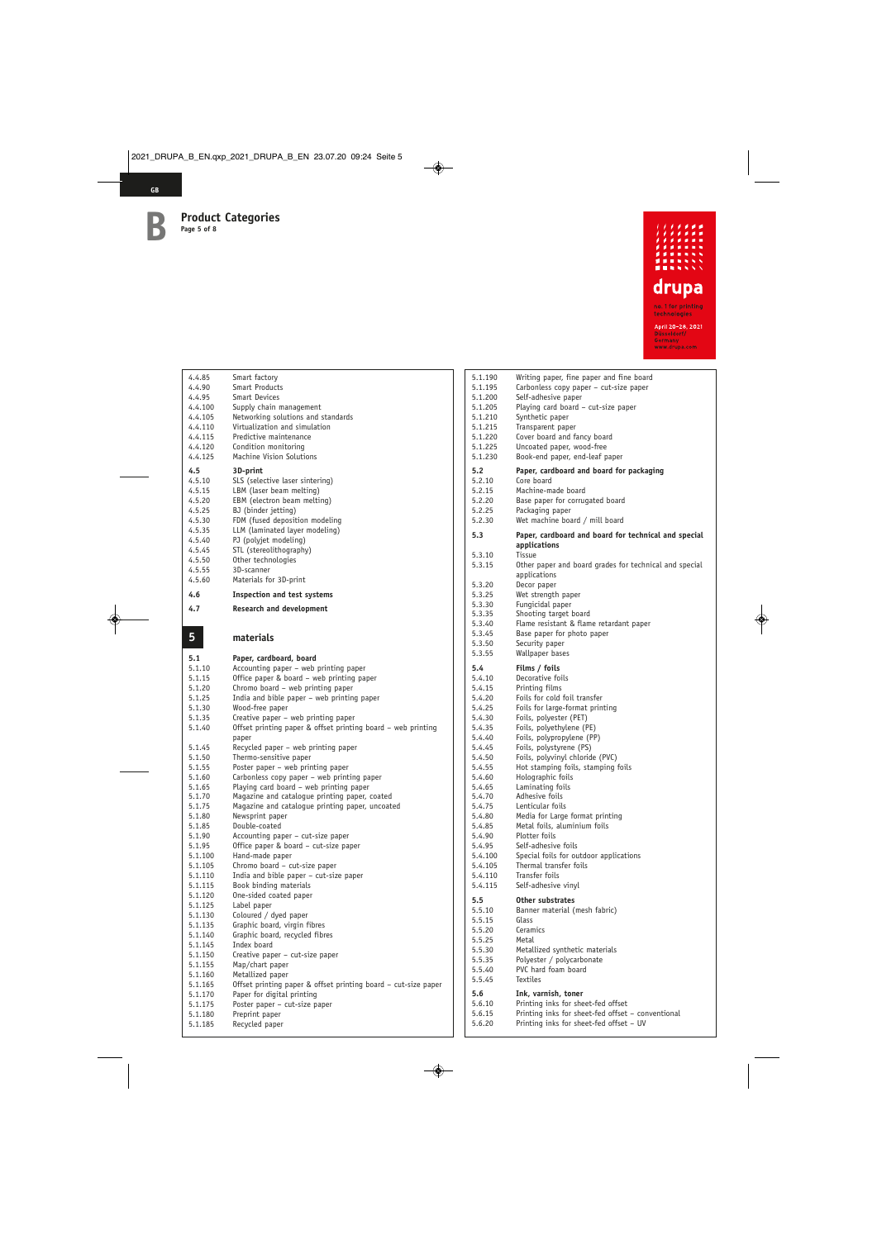

| 4.4.85<br>4.4.90<br>4.4.95<br>4.4.100<br>4.4.105<br>4.4.110<br>4.4.115<br>4.4.120                                 | Smart factory<br><b>Smart Products</b><br><b>Smart Devices</b><br>Supply chain management<br>Networking solutions and standards<br>Virtualization and simulation<br>Predictive maintenance<br>Condition monitoring                                                                                                  |
|-------------------------------------------------------------------------------------------------------------------|---------------------------------------------------------------------------------------------------------------------------------------------------------------------------------------------------------------------------------------------------------------------------------------------------------------------|
| 4.4.125                                                                                                           | Machine Vision Solutions                                                                                                                                                                                                                                                                                            |
| 4.5<br>4.5.10<br>4.5.15<br>4.5.20<br>4.5.25<br>4.5.30<br>4.5.35<br>4.5.40<br>4.5.45<br>4.5.50<br>4.5.55<br>4.5.60 | 3D-print<br>SLS (selective laser sintering)<br>LBM (laser beam melting)<br>EBM (electron beam melting)<br>BJ (binder jetting)<br>FDM (fused deposition modeling<br>LLM (laminated layer modeling)<br>PJ (polyjet modeling)<br>STL (stereolithography)<br>Other technologies<br>3D-scanner<br>Materials for 3D-print |
| 4.6                                                                                                               | <b>Inspection and test systems</b>                                                                                                                                                                                                                                                                                  |
| 4.7                                                                                                               | Research and development                                                                                                                                                                                                                                                                                            |
|                                                                                                                   |                                                                                                                                                                                                                                                                                                                     |
| 5                                                                                                                 | materials                                                                                                                                                                                                                                                                                                           |
| 5.1                                                                                                               | Paper, cardboard, board                                                                                                                                                                                                                                                                                             |
| 5.1.10                                                                                                            | Accounting paper - web printing paper                                                                                                                                                                                                                                                                               |
| 5.1.15                                                                                                            | Office paper & board - web printing paper                                                                                                                                                                                                                                                                           |
| 5.1.20                                                                                                            | Chromo board - web printing paper                                                                                                                                                                                                                                                                                   |
| 5.1.25                                                                                                            | India and bible paper – web printing paper                                                                                                                                                                                                                                                                          |
| 5.1.30                                                                                                            | Wood-free paper                                                                                                                                                                                                                                                                                                     |
| 5.1.35                                                                                                            | Creative paper – web printing paper                                                                                                                                                                                                                                                                                 |
| 5.1.40                                                                                                            | Offset printing paper & offset printing board - web printing<br>paper                                                                                                                                                                                                                                               |
| 5.1.45                                                                                                            | Recycled paper – web printing paper                                                                                                                                                                                                                                                                                 |
| 5.1.50                                                                                                            | Thermo-sensitive paper                                                                                                                                                                                                                                                                                              |
| 5.1.55                                                                                                            | Poster paper - web printing paper                                                                                                                                                                                                                                                                                   |
| 5.1.60                                                                                                            | Carbonless copy paper – web printing paper                                                                                                                                                                                                                                                                          |
| 5.1.65                                                                                                            | Playing card board - web printing paper                                                                                                                                                                                                                                                                             |
|                                                                                                                   |                                                                                                                                                                                                                                                                                                                     |
| 5.1.70                                                                                                            | Magazine and catalogue printing paper, coated                                                                                                                                                                                                                                                                       |
| 5.1.75                                                                                                            | Magazine and catalogue printing paper, uncoated                                                                                                                                                                                                                                                                     |
| 5.1.80                                                                                                            | Newsprint paper                                                                                                                                                                                                                                                                                                     |
| 5.1.85                                                                                                            | Double-coated                                                                                                                                                                                                                                                                                                       |
| 5.1.90                                                                                                            | Accounting paper - cut-size paper                                                                                                                                                                                                                                                                                   |
| 5.1.95                                                                                                            | Office paper & board - cut-size paper                                                                                                                                                                                                                                                                               |
| 5.1.100                                                                                                           | Hand-made paper                                                                                                                                                                                                                                                                                                     |
| 5.1.105<br>5.1.110                                                                                                | Chromo board - cut-size paper                                                                                                                                                                                                                                                                                       |
| 5.1.115                                                                                                           | India and bible paper - cut-size paper<br>Book binding materials                                                                                                                                                                                                                                                    |
| 5.1.120                                                                                                           | One-sided coated paper                                                                                                                                                                                                                                                                                              |
| 5.1.125                                                                                                           | Label paper                                                                                                                                                                                                                                                                                                         |
| 5.1.130                                                                                                           | Coloured / dyed paper                                                                                                                                                                                                                                                                                               |
| 5.1.135                                                                                                           | Graphic board, virgin fibres                                                                                                                                                                                                                                                                                        |
| 5.1.140                                                                                                           | Graphic board, recycled fibres                                                                                                                                                                                                                                                                                      |
| 5.1.145                                                                                                           | Index board                                                                                                                                                                                                                                                                                                         |
| 5.1.150<br>5.1.155                                                                                                | Creative paper - cut-size paper<br>Map/chart paper                                                                                                                                                                                                                                                                  |

| ------- | <i>i</i> iapy criare paper |
|---------|----------------------------|
| 5.1.160 | Metallized paper           |

- 5.1.165 Offset printing paper & offset printing board cut-size paper 5.1.170 Paper for digital printing 5.1.175 Poster paper – cut-size paper 5.1.180 Preprint paper
- 5.1.185 Recycled paper

| 5.1.190<br>5.1.195<br>5.1.200<br>5.1.205<br>5.1.210<br>5.1.215<br>5.1.220<br>5.1.225<br>5.1.230 | Writing paper, fine paper and fine board<br>Carbonless copy paper – cut-size paper<br>Self-adhesive paper<br>Playing card board - cut-size paper<br>Synthetic paper<br>Transparent paper<br>Cover board and fancy board<br>Uncoated paper, wood-free<br>Book-end paper, end-leaf paper |
|-------------------------------------------------------------------------------------------------|----------------------------------------------------------------------------------------------------------------------------------------------------------------------------------------------------------------------------------------------------------------------------------------|
| 5.2                                                                                             | Paper, cardboard and board for packaging                                                                                                                                                                                                                                               |
| 5.2.10                                                                                          | Core board                                                                                                                                                                                                                                                                             |
| 5.2.15                                                                                          | Machine-made board                                                                                                                                                                                                                                                                     |
| 5.2.20                                                                                          | Base paper for corrugated board                                                                                                                                                                                                                                                        |
| 5.2.25                                                                                          | Packaging paper                                                                                                                                                                                                                                                                        |
| 5.2.30                                                                                          | Wet machine board / mill board                                                                                                                                                                                                                                                         |
| 5.3                                                                                             | Paper, cardboard and board for technical and special                                                                                                                                                                                                                                   |
|                                                                                                 | applications                                                                                                                                                                                                                                                                           |
| 5.3.10                                                                                          | Tissue                                                                                                                                                                                                                                                                                 |
| 5.3.15                                                                                          | Other paper and board grades for technical and special                                                                                                                                                                                                                                 |
|                                                                                                 | applications                                                                                                                                                                                                                                                                           |
| 5.3.20                                                                                          | Decor paper                                                                                                                                                                                                                                                                            |
| 5.3.25                                                                                          | Wet strength paper                                                                                                                                                                                                                                                                     |
| 5.3.30<br>5.3.35                                                                                | Fungicidal paper<br>Shooting target board                                                                                                                                                                                                                                              |
| 5.3.40                                                                                          | Flame resistant & flame retardant paper                                                                                                                                                                                                                                                |
| 5.3.45                                                                                          | Base paper for photo paper                                                                                                                                                                                                                                                             |
| 5.3.50                                                                                          | Security paper                                                                                                                                                                                                                                                                         |
| 5.3.55                                                                                          | Wallpaper bases                                                                                                                                                                                                                                                                        |
| 5.4                                                                                             | Films / foils                                                                                                                                                                                                                                                                          |
| 5.4.10                                                                                          | Decorative foils                                                                                                                                                                                                                                                                       |
| 5.4.15                                                                                          | Printing films                                                                                                                                                                                                                                                                         |
| 5.4.20                                                                                          | Foils for cold foil transfer                                                                                                                                                                                                                                                           |
| 5.4.25                                                                                          | Foils for large-format printing                                                                                                                                                                                                                                                        |
| 5.4.30                                                                                          | Foils, polyester (PET)                                                                                                                                                                                                                                                                 |
| 5.4.35                                                                                          | Foils, polyethylene (PE)                                                                                                                                                                                                                                                               |
| 5.4.40                                                                                          | Foils, polypropylene (PP)                                                                                                                                                                                                                                                              |
| 5.4.45                                                                                          | Foils, polystyrene (PS)                                                                                                                                                                                                                                                                |
| 5.4.50                                                                                          | Foils, polyvinyl chloride (PVC)                                                                                                                                                                                                                                                        |
| 5.4.55                                                                                          | Hot stamping foils, stamping foils                                                                                                                                                                                                                                                     |
| 5.4.60<br>5.4.65                                                                                | Holographic foils<br>Laminating foils                                                                                                                                                                                                                                                  |
| 5.4.70                                                                                          | Adhesive foils                                                                                                                                                                                                                                                                         |
| 5.4.75                                                                                          | Lenticular foils                                                                                                                                                                                                                                                                       |
| 5.4.80                                                                                          | Media for Large format printing                                                                                                                                                                                                                                                        |
| 5.4.85                                                                                          | Metal foils, aluminium foils                                                                                                                                                                                                                                                           |
| 5.4.90                                                                                          | Plotter foils                                                                                                                                                                                                                                                                          |
| 5.4.95                                                                                          | Self-adhesive foils                                                                                                                                                                                                                                                                    |
| 5.4.100                                                                                         | Special foils for outdoor applications                                                                                                                                                                                                                                                 |
| 5.4.105                                                                                         | Thermal transfer foils                                                                                                                                                                                                                                                                 |
| 5.4.110                                                                                         | Transfer foils                                                                                                                                                                                                                                                                         |
| 5.4.115                                                                                         | Self-adhesive vinyl                                                                                                                                                                                                                                                                    |
| 5.5                                                                                             | Other substrates                                                                                                                                                                                                                                                                       |
| 5.5.10                                                                                          | Banner material (mesh fabric)<br>Glass                                                                                                                                                                                                                                                 |
| 5.5.15<br>5.5.20                                                                                | Ceramics                                                                                                                                                                                                                                                                               |
| 5.5.25                                                                                          | Metal                                                                                                                                                                                                                                                                                  |
| 5.5.30                                                                                          | Metallized synthetic materials                                                                                                                                                                                                                                                         |
| 5.5.35                                                                                          | Polyester / polycarbonate                                                                                                                                                                                                                                                              |
| 5.5.40                                                                                          | PVC hard foam board                                                                                                                                                                                                                                                                    |
| 5.5.45                                                                                          | <b>Textiles</b>                                                                                                                                                                                                                                                                        |
| 5.6                                                                                             | Ink, varnish, toner                                                                                                                                                                                                                                                                    |
| 5.6.10                                                                                          | Printing inks for sheet-fed offset                                                                                                                                                                                                                                                     |
| 5.6.15                                                                                          | Printing inks for sheet-fed offset - conventional                                                                                                                                                                                                                                      |
| 5.6.20                                                                                          | Printing inks for sheet-fed offset - UV                                                                                                                                                                                                                                                |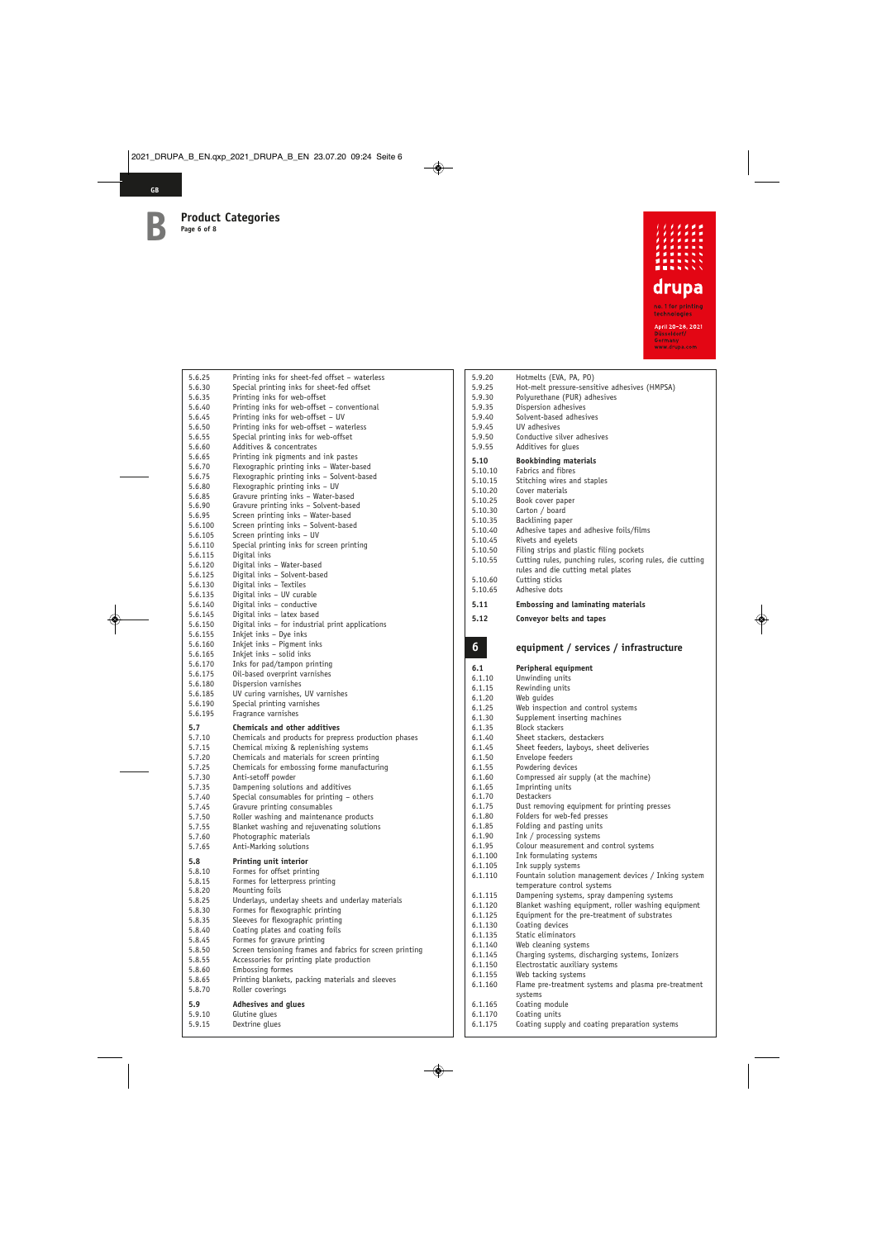

| 5.6.25             | Printing inks for sheet-fed offset - waterless                                   |
|--------------------|----------------------------------------------------------------------------------|
| 5.6.30             | Special printing inks for sheet-fed offset                                       |
| 5.6.35             | Printing inks for web-offset                                                     |
| 5.6.40             | Printing inks for web-offset – conventional<br>Printing inks for web-offset - UV |
| 5.6.45<br>5.6.50   | Printing inks for web-offset – waterless                                         |
| 5.6.55             | Special printing inks for web-offset                                             |
| 5.6.60             | Additives & concentrates                                                         |
| 5.6.65             | Printing ink pigments and ink pastes                                             |
| 5.6.70             | Flexographic printing inks - Water-based                                         |
| 5.6.75             | Flexographic printing inks - Solvent-based                                       |
| 5.6.80             | Flexographic printing inks - UV                                                  |
| 5.6.85             | Gravure printing inks - Water-based                                              |
| 5.6.90<br>5.6.95   | Gravure printing inks - Solvent-based<br>Screen printing inks - Water-based      |
| 5.6.100            | Screen printing inks - Solvent-based                                             |
| 5.6.105            | Screen printing inks - UV                                                        |
| 5.6.110            | Special printing inks for screen printing                                        |
| 5.6.115            | Digital inks                                                                     |
| 5.6.120            | Digital inks - Water-based                                                       |
| 5.6.125            | Digital inks - Solvent-based                                                     |
| 5.6.130            | Digital inks - Textiles                                                          |
| 5.6.135<br>5.6.140 | Digital inks - UV curable<br>Digital inks - conductive                           |
| 5.6.145            | Digital inks - latex based                                                       |
| 5.6.150            | Digital inks - for industrial print applications                                 |
| 5.6.155            | Inkjet inks - Dye inks                                                           |
| 5.6.160            | Inkjet inks - Pigment inks                                                       |
| 5.6.165            | Inkjet inks - solid inks                                                         |
| 5.6.170            | Inks for pad/tampon printing<br>Oil-based overprint varnishes                    |
| 5.6.175<br>5.6.180 | Dispersion varnishes                                                             |
| 5.6.185            | UV curing varnishes, UV varnishes                                                |
| 5.6.190            | Special printing varnishes                                                       |
| 5.6.195            | Fragrance varnishes                                                              |
| 5.7                | <b>Chemicals and other additives</b>                                             |
| 5.7.10             | Chemicals and products for prepress production phases                            |
| 5.7.15             | Chemical mixing & replenishing systems                                           |
| 5.7.20             | Chemicals and materials for screen printing                                      |
| 5.7.25<br>5.7.30   | Chemicals for embossing forme manufacturing<br>Anti-setoff powder                |
| 5.7.35             | Dampening solutions and additives                                                |
| 5.7.40             | Special consumables for printing - others                                        |
| 5.7.45             | Gravure printing consumables                                                     |
| 5.7.50             | Roller washing and maintenance products                                          |
| 5.7.55             | Blanket washing and rejuvenating solutions                                       |
| 5.7.60             | Photographic materials                                                           |
| 5.7.65             | Anti-Marking solutions                                                           |
| 5.8                | Printing unit interior                                                           |
| 5.8.10             | Formes for offset printing                                                       |
| 5.8.15<br>5.8.20   | Formes for letterpress printing<br>Mounting foils                                |
| 5.8.25             | Underlays, underlay sheets and underlay materials                                |
| 5.8.30             | Formes for flexographic printing                                                 |
| 5.8.35             | Sleeves for flexographic printing                                                |
| 5.8.40             | Coating plates and coating foils                                                 |
| 5.8.45             | Formes for gravure printing                                                      |
| 5.8.50             | Screen tensioning frames and fabrics for screen printing                         |
| 5.8.55             | Accessories for printing plate production<br>Embossing formes                    |
| 5.8.60<br>5.8.65   | Printing blankets, packing materials and sleeves                                 |
| 5.8.70             | Roller coverings                                                                 |
|                    |                                                                                  |
| 5.9                | <b>Adhesives and glues</b><br>Glutine glues                                      |
|                    |                                                                                  |
| 5.9.10<br>5.9.15   | Dextrine glues                                                                   |

| 5.9.20<br>5.9.25<br>5.9.30<br>5.9.35<br>5.9.40<br>5.9.45<br>5.9.50<br>5.9.55                                                             | Hotmelts (EVA, PA, PO)<br>Hot-melt pressure-sensitive adhesives (HMPSA)<br>Polyurethane (PUR) adhesives<br>Dispersion adhesives<br>Solvent-based adhesives<br>UV adhesives<br>Conductive silver adhesives<br>Additives for glues                                                                                                                                                                                  |
|------------------------------------------------------------------------------------------------------------------------------------------|-------------------------------------------------------------------------------------------------------------------------------------------------------------------------------------------------------------------------------------------------------------------------------------------------------------------------------------------------------------------------------------------------------------------|
| 5.10<br>5.10.10<br>5.10.15<br>5.10.20<br>5.10.25<br>5.10.30<br>5.10.35<br>5.10.40<br>5.10.45<br>5.10.50<br>5.10.55<br>5.10.60<br>5.10.65 | <b>Bookbinding materials</b><br>Fabrics and fibres<br>Stitching wires and staples<br>Cover materials<br>Book cover paper<br>Carton / board<br>Backlining paper<br>Adhesive tapes and adhesive foils/films<br>Rivets and eyelets<br>Filing strips and plastic filing pockets<br>Cutting rules, punching rules, scoring rules, die cutting<br>rules and die cutting metal plates<br>Cutting sticks<br>Adhesive dots |
| 5.11                                                                                                                                     | <b>Embossing and laminating materials</b>                                                                                                                                                                                                                                                                                                                                                                         |
| 5.12                                                                                                                                     | Conveyor belts and tapes                                                                                                                                                                                                                                                                                                                                                                                          |
|                                                                                                                                          |                                                                                                                                                                                                                                                                                                                                                                                                                   |
|                                                                                                                                          |                                                                                                                                                                                                                                                                                                                                                                                                                   |
| $6\phantom{1}6$                                                                                                                          | equipment / services / infrastructure                                                                                                                                                                                                                                                                                                                                                                             |
| 6.1                                                                                                                                      | Peripheral equipment                                                                                                                                                                                                                                                                                                                                                                                              |
| 6.1.10                                                                                                                                   | Unwinding units                                                                                                                                                                                                                                                                                                                                                                                                   |
| 6.1.15                                                                                                                                   | Rewinding units                                                                                                                                                                                                                                                                                                                                                                                                   |
| 6.1.20                                                                                                                                   | Web guides                                                                                                                                                                                                                                                                                                                                                                                                        |
| 6.1.25                                                                                                                                   | Web inspection and control systems                                                                                                                                                                                                                                                                                                                                                                                |
| 6.1.30                                                                                                                                   | Supplement inserting machines                                                                                                                                                                                                                                                                                                                                                                                     |
| 6.1.35                                                                                                                                   | <b>Block stackers</b>                                                                                                                                                                                                                                                                                                                                                                                             |
| 6.1.40                                                                                                                                   | Sheet stackers, destackers                                                                                                                                                                                                                                                                                                                                                                                        |
| 6.1.45                                                                                                                                   | Sheet feeders, layboys, sheet deliveries                                                                                                                                                                                                                                                                                                                                                                          |
| 6.1.50                                                                                                                                   | Envelope feeders                                                                                                                                                                                                                                                                                                                                                                                                  |
| 6.1.55                                                                                                                                   | Powdering devices                                                                                                                                                                                                                                                                                                                                                                                                 |
| 6.1.60<br>6.1.65                                                                                                                         | Compressed air supply (at the machine)                                                                                                                                                                                                                                                                                                                                                                            |
| 6.1.70                                                                                                                                   | Imprinting units<br>Destackers                                                                                                                                                                                                                                                                                                                                                                                    |
| 6.1.75                                                                                                                                   | Dust removing equipment for printing presses                                                                                                                                                                                                                                                                                                                                                                      |
| 6.1.80                                                                                                                                   | Folders for web-fed presses                                                                                                                                                                                                                                                                                                                                                                                       |
| 6.1.85                                                                                                                                   | Folding and pasting units                                                                                                                                                                                                                                                                                                                                                                                         |
| 6.1.90                                                                                                                                   | Ink / processing systems                                                                                                                                                                                                                                                                                                                                                                                          |
| 6.1.95                                                                                                                                   | Colour measurement and control systems                                                                                                                                                                                                                                                                                                                                                                            |
| 6.1.100                                                                                                                                  | Ink formulating systems                                                                                                                                                                                                                                                                                                                                                                                           |
| 6.1.105<br>6.1.110                                                                                                                       | Ink supply systems<br>Fountain solution management devices / Inking system                                                                                                                                                                                                                                                                                                                                        |

6.1.115 Dampening systems, spray dampening systems<br>6.1.120 Blanket washing equipment, roller washing equ 6.1.120 Blanket washing equipment, roller washing equipment 6.1.125 Equipment for the pre-treatment of substrates 6.1.125 Equipment for the pre-treatment of substrates

6.1.145 Charging systems, discharging systems, Ionizers Electrostatic auxiliary systems

6.1.175 Coating supply and coating preparation systems

Flame pre-treatment systems and plasma pre-treatment

6.1.130 Coating devices<br>6.1.135 Static eliminato

6.1.155 Web tacking systems<br>6.1.160 Flame pre-treatment

systems 6.1.165 Coating module<br>6.1.170 Coating units Coating units

Static eliminators 6.1.140 Web cleaning systems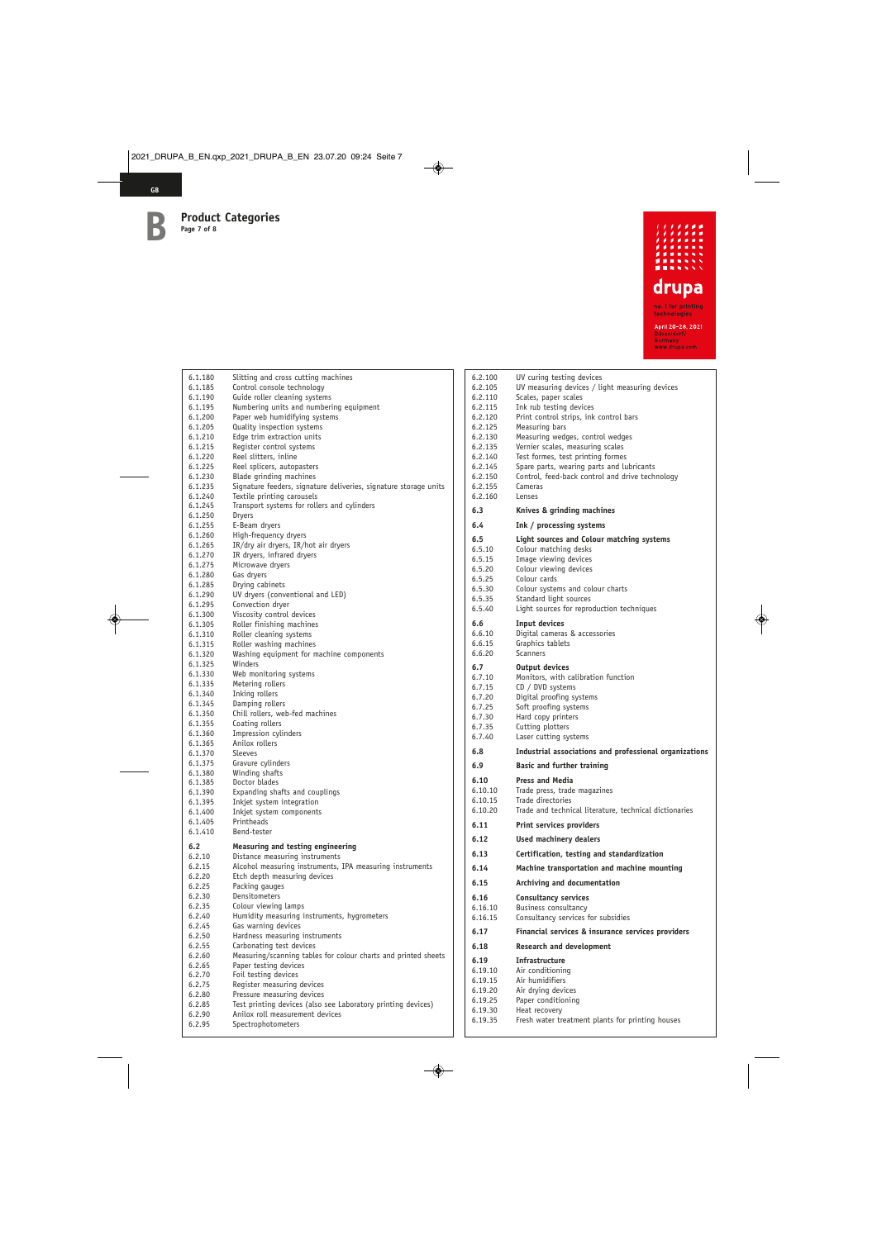

| 6.1.180            | Slitting and cross cutting machines                                                        |
|--------------------|--------------------------------------------------------------------------------------------|
| 6.1.185            | Control console technology                                                                 |
| 6.1.190            | Guide roller cleaning systems                                                              |
| 6.1.195            | Numbering units and numbering equipment                                                    |
| 6.1.200            | Paper web humidifying systems                                                              |
| 6.1.205<br>6.1.210 | Quality inspection systems<br>Edge trim extraction units                                   |
| 6.1.215            | Register control systems                                                                   |
| 6.1.220            | Reel slitters, inline                                                                      |
| 6.1.225            | Reel splicers, autopasters                                                                 |
| 6.1.230            | Blade grinding machines                                                                    |
| 6.1.235            | Signature feeders, signature deliveries, signature storage units                           |
| 6.1.240            | Textile printing carousels                                                                 |
| 6.1.245            | Transport systems for rollers and cylinders                                                |
| 6.1.250            | Dryers                                                                                     |
| 6.1.255<br>6.1.260 | E-Beam dryers                                                                              |
| 6.1.265            | High-frequency dryers<br>IR/dry air dryers, IR/hot air dryers                              |
| 6.1.270            | IR dryers, infrared dryers                                                                 |
| 6.1.275            | Microwave dryers                                                                           |
| 6.1.280            | Gas dryers                                                                                 |
| 6.1.285            | Drying cabinets                                                                            |
| 6.1.290            | UV dryers (conventional and LED)                                                           |
| 6.1.295            | Convection dryer                                                                           |
| 6.1.300            | Viscosity control devices                                                                  |
| 6.1.305            | Roller finishing machines<br>Roller cleaning systems                                       |
| 6.1.310<br>6.1.315 | Roller washing machines                                                                    |
| 6.1.320            | Washing equipment for machine components                                                   |
| 6.1.325            | Winders                                                                                    |
| 6.1.330            | Web monitoring systems                                                                     |
| 6.1.335            | Metering rollers                                                                           |
| 6.1.340            | Inking rollers                                                                             |
| 6.1.345            | Damping rollers                                                                            |
| 6.1.350            | Chill rollers, web-fed machines                                                            |
| 6.1.355            | Coating rollers                                                                            |
| 6.1.360<br>6.1.365 | Impression cylinders<br>Anilox rollers                                                     |
| 6.1.370            | Sleeves                                                                                    |
| 6.1.375            | Gravure cylinders                                                                          |
| 6.1.380            | Winding shafts                                                                             |
| 6.1.385            | Doctor blades                                                                              |
| 6.1.390            | Expanding shafts and couplings                                                             |
| 6.1.395            | Inkjet system integration                                                                  |
| 6.1.400            | Inkjet system components                                                                   |
| 6.1.405<br>6.1.410 | Printheads<br>Bend-tester                                                                  |
|                    |                                                                                            |
| 6.2                | Measuring and testing engineering                                                          |
| 6.2.10<br>6.2.15   | Distance measuring instruments<br>Alcohol measuring instruments, IPA measuring instruments |
| 6.2.20             | Etch depth measuring devices                                                               |
| 6.2.25             | Packing gauges                                                                             |
| 6.2.30             | Densitometers                                                                              |
| 6.2.35             | Colour viewing lamps                                                                       |
| 6.2.40             | Humidity measuring instruments, hygrometers                                                |
| 6.2.45             | Gas warning devices                                                                        |
| 6.2.50             | Hardness measuring instruments                                                             |
| 6.2.55             | Carbonating test devices                                                                   |
| 6.2.60             | Measuring/scanning tables for colour charts and printed sheets                             |
| 6.2.65<br>6.2.70   | Paper testing devices<br>Foil testing devices                                              |
| 6.2.75             | Register measuring devices                                                                 |
| 6.2.80             | Pressure measuring devices                                                                 |
| 6.2.85             | Test printing devices (also see Laboratory printing devices)                               |
| 6.2.90             | Anilox roll measurement devices                                                            |
| 6.2.95             | Spectrophotometers                                                                         |
|                    |                                                                                            |

| 6.2.100            | UV curing testing devices                                             |
|--------------------|-----------------------------------------------------------------------|
| 6.2.105            | UV measuring devices / light measuring devices                        |
| 6.2.110<br>6.2.115 | Scales, paper scales<br>Ink rub testing devices                       |
| 6.2.120            | Print control strips, ink control bars                                |
| 6.2.125            | Measuring bars                                                        |
| 6.2.130            | Measuring wedges, control wedges                                      |
| 6.2.135<br>6.2.140 | Vernier scales, measuring scales<br>Test formes, test printing formes |
| 6.2.145            | Spare parts, wearing parts and lubricants                             |
| 6.2.150            | Control, feed-back control and drive technology                       |
| 6.2.155            | Cameras                                                               |
| 6.2.160            | Lenses                                                                |
| 6.3<br>6.4         | Knives & grinding machines                                            |
|                    | Ink / processing systems                                              |
| 6.5<br>6.5.10      | Light sources and Colour matching systems<br>Colour matching desks    |
| 6.5.15             | Image viewing devices                                                 |
| 6.5.20             | Colour viewing devices                                                |
| 6.5.25             | Colour cards                                                          |
| 6.5.30<br>6.5.35   | Colour systems and colour charts<br>Standard light sources            |
| 6.5.40             | Light sources for reproduction techniques                             |
| 6.6                | Input devices                                                         |
| 6.6.10             | Digital cameras & accessories                                         |
| 6.6.15             | Graphics tablets                                                      |
| 6.6.20             | <b>Scanners</b>                                                       |
| 6.7                | <b>Output devices</b>                                                 |
| 6.7.10             | Monitors, with calibration function                                   |
| 6.7.15<br>6.7.20   | CD / DVD systems<br>Digital proofing systems                          |
| 6.7.25             | Soft proofing systems                                                 |
| 6.7.30             | Hard copy printers                                                    |
|                    |                                                                       |
| 6.7.35             | Cutting plotters                                                      |
| 6.7.40             | Laser cutting systems                                                 |
| 6.8                | Industrial associations and professional organizations                |
| 6.9                | <b>Basic and further training</b>                                     |
| 6.10               | <b>Press and Media</b>                                                |
| 6.10.10<br>6.10.15 | Trade press, trade magazines<br>Trade directories                     |
| 6.10.20            | Trade and technical literature, technical dictionaries                |
| 6.11               | <b>Print services providers</b>                                       |
| 6.12               | <b>Used machinery dealers</b>                                         |
| 6.13               | Certification, testing and standardization                            |
| 6.14               | Machine transportation and machine mounting                           |
| 6.15               | Archiving and documentation                                           |
| 6.16               | <b>Consultancy services</b>                                           |
| 6.16.10            | Business consultancy                                                  |
| 6.16.15            | Consultancy services for subsidies                                    |
| 6.17               | Financial services & insurance services providers                     |
| 6.18               | Research and development                                              |
| 6.19               | Infrastructure                                                        |
| 6.19.10<br>6.19.15 | Air conditioning<br>Air humidifiers                                   |
| 6.19.20            | Air drying devices                                                    |
| 6.19.25            | Paper conditioning                                                    |
| 6.19.30<br>6.19.35 | Heat recovery<br>Fresh water treatment plants for printing houses     |